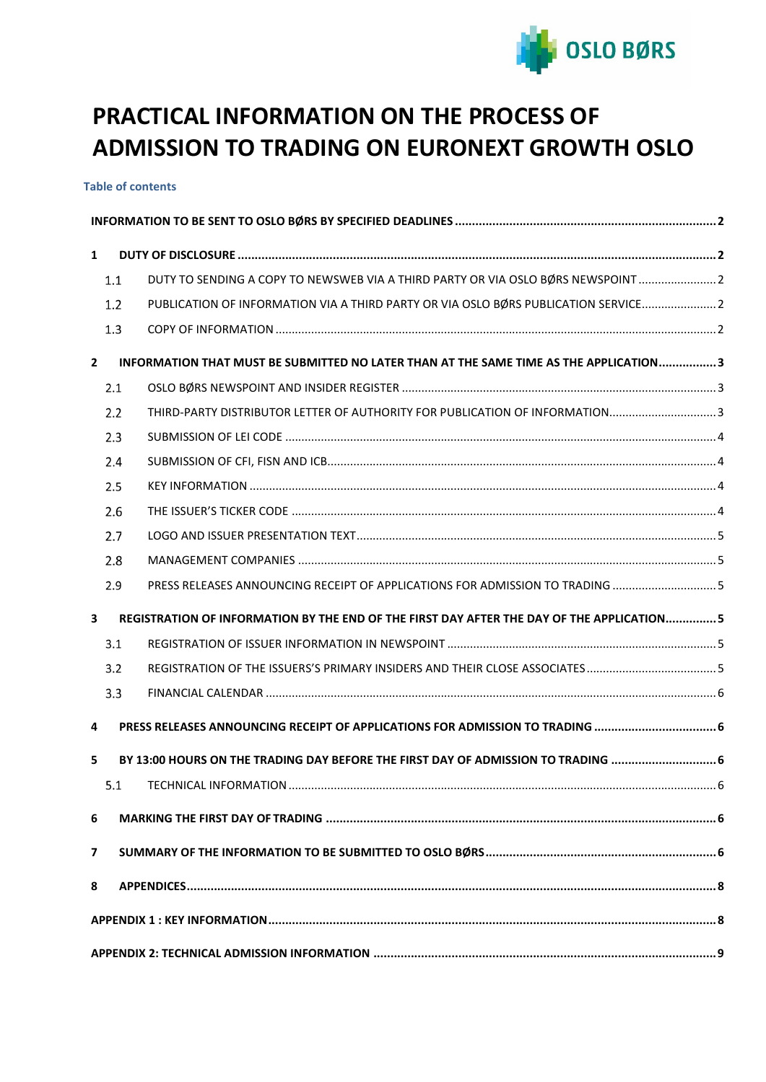

# **PRACTICAL INFORMATION ON THE PROCESS OF ADMISSION TO TRADING ON EURONEXT GROWTH OSLO**

**Table of contents**

| $\mathbf{1}$            |     |                                                                                            |  |
|-------------------------|-----|--------------------------------------------------------------------------------------------|--|
|                         | 1.1 | DUTY TO SENDING A COPY TO NEWSWEB VIA A THIRD PARTY OR VIA OSLO BØRS NEWSPOINT             |  |
|                         | 1.2 | PUBLICATION OF INFORMATION VIA A THIRD PARTY OR VIA OSLO BØRS PUBLICATION SERVICE 2        |  |
|                         | 1.3 |                                                                                            |  |
| $\mathbf{2}$            |     | INFORMATION THAT MUST BE SUBMITTED NO LATER THAN AT THE SAME TIME AS THE APPLICATION3      |  |
|                         | 2.1 |                                                                                            |  |
|                         | 2.2 | THIRD-PARTY DISTRIBUTOR LETTER OF AUTHORITY FOR PUBLICATION OF INFORMATION3                |  |
|                         | 2.3 |                                                                                            |  |
|                         | 2.4 |                                                                                            |  |
|                         | 2.5 |                                                                                            |  |
|                         | 2.6 |                                                                                            |  |
|                         | 2.7 |                                                                                            |  |
|                         | 2.8 |                                                                                            |  |
|                         | 2.9 | PRESS RELEASES ANNOUNCING RECEIPT OF APPLICATIONS FOR ADMISSION TO TRADING  5              |  |
| $\mathbf{3}$            |     | REGISTRATION OF INFORMATION BY THE END OF THE FIRST DAY AFTER THE DAY OF THE APPLICATION 5 |  |
|                         | 3.1 |                                                                                            |  |
|                         | 3.2 |                                                                                            |  |
|                         | 3.3 |                                                                                            |  |
| $\overline{\mathbf{4}}$ |     | PRESS RELEASES ANNOUNCING RECEIPT OF APPLICATIONS FOR ADMISSION TO TRADING 6               |  |
| 5                       |     | BY 13:00 HOURS ON THE TRADING DAY BEFORE THE FIRST DAY OF ADMISSION TO TRADING 6           |  |
|                         | 5.1 |                                                                                            |  |
| 6                       |     |                                                                                            |  |
| 7                       |     |                                                                                            |  |
| 8                       |     |                                                                                            |  |
|                         |     |                                                                                            |  |
|                         |     |                                                                                            |  |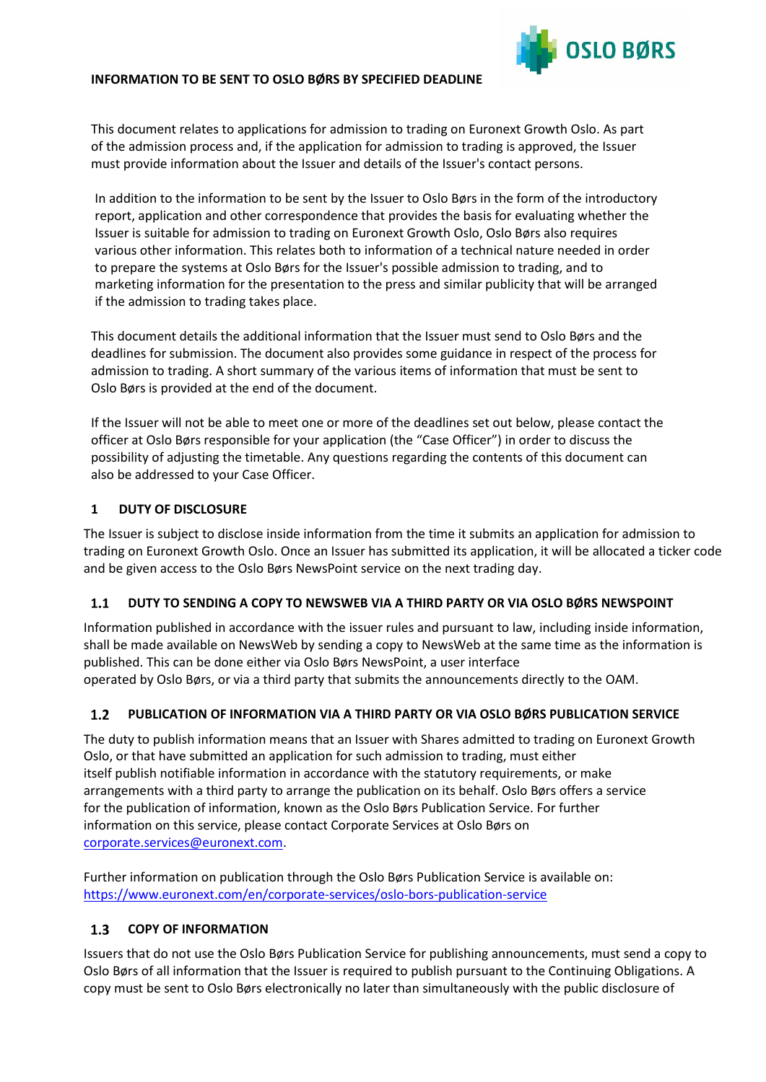### <span id="page-1-0"></span>**INFORMATION TO BE SENT TO OSLO BØRS BY SPECIFIED DEADLINE**



This document relates to applications for admission to trading on Euronext Growth Oslo. As part of the admission process and, if the application for admission to trading is approved, the Issuer must provide information about the Issuer and details of the Issuer's contact persons.

In addition to the information to be sent by the Issuer to Oslo Børs in the form of the introductory report, application and other correspondence that provides the basis for evaluating whether the Issuer is suitable for admission to trading on Euronext Growth Oslo, Oslo Børs also requires various other information. This relates both to information of a technical nature needed in order to prepare the systems at Oslo Børs for the Issuer's possible admission to trading, and to marketing information for the presentation to the press and similar publicity that will be arranged if the admission to trading takes place.

This document details the additional information that the Issuer must send to Oslo Børs and the deadlines for submission. The document also provides some guidance in respect of the process for admission to trading. A short summary of the various items of information that must be sent to Oslo Børs is provided at the end of the document.

If the Issuer will not be able to meet one or more of the deadlines set out below, please contact the officer at Oslo Børs responsible for your application (the "Case Officer") in order to discuss the possibility of adjusting the timetable. Any questions regarding the contents of this document can also be addressed to your Case Officer.

### <span id="page-1-1"></span>**1 DUTY OF DISCLOSURE**

The Issuer is subject to disclose inside information from the time it submits an application for admission to trading on Euronext Growth Oslo. Once an Issuer has submitted its application, it will be allocated a ticker code and be given access to the Oslo Børs NewsPoint service on the next trading day.

#### <span id="page-1-2"></span> $1.1$ **DUTY TO SENDING A COPY TO NEWSWEB VIA A THIRD PARTY OR VIA OSLO BØRS NEWSPOINT**

Information published in accordance with the issuer rules and pursuant to law, including inside information, shall be made available on NewsWeb by sending a copy to NewsWeb at the same time as the information is published. This can be done either via Oslo Børs NewsPoint, a user interface operated by Oslo Børs, or via a third party that submits the announcements directly to the OAM.

#### <span id="page-1-3"></span> $1.2$ **PUBLICATION OF INFORMATION VIA A THIRD PARTY OR VIA OSLO BØRS PUBLICATION SERVICE**

The duty to publish information means that an Issuer with Shares admitted to trading on Euronext Growth Oslo, or that have submitted an application for such admission to trading, must either itself publish notifiable information in accordance with the statutory requirements, or make arrangements with a third party to arrange the publication on its behalf. Oslo Børs offers a service for the publication of information, known as the Oslo Børs Publication Service. For further information on this service, please contact Corporate Services at Oslo Børs on [corporate.services@euronext.com.](mailto:corporate.services@euronext.com)

Further information on publication through the Oslo Børs Publication Service is available on: <https://www.euronext.com/en/corporate-services/oslo-bors-publication-service>

#### <span id="page-1-4"></span> $1.3$ **COPY OF INFORMATION**

Issuers that do not use the Oslo Børs Publication Service for publishing announcements, must send a copy to Oslo Børs of all information that the Issuer is required to publish pursuant to the Continuing Obligations. A copy must be sent to Oslo Børs electronically no later than simultaneously with the public disclosure of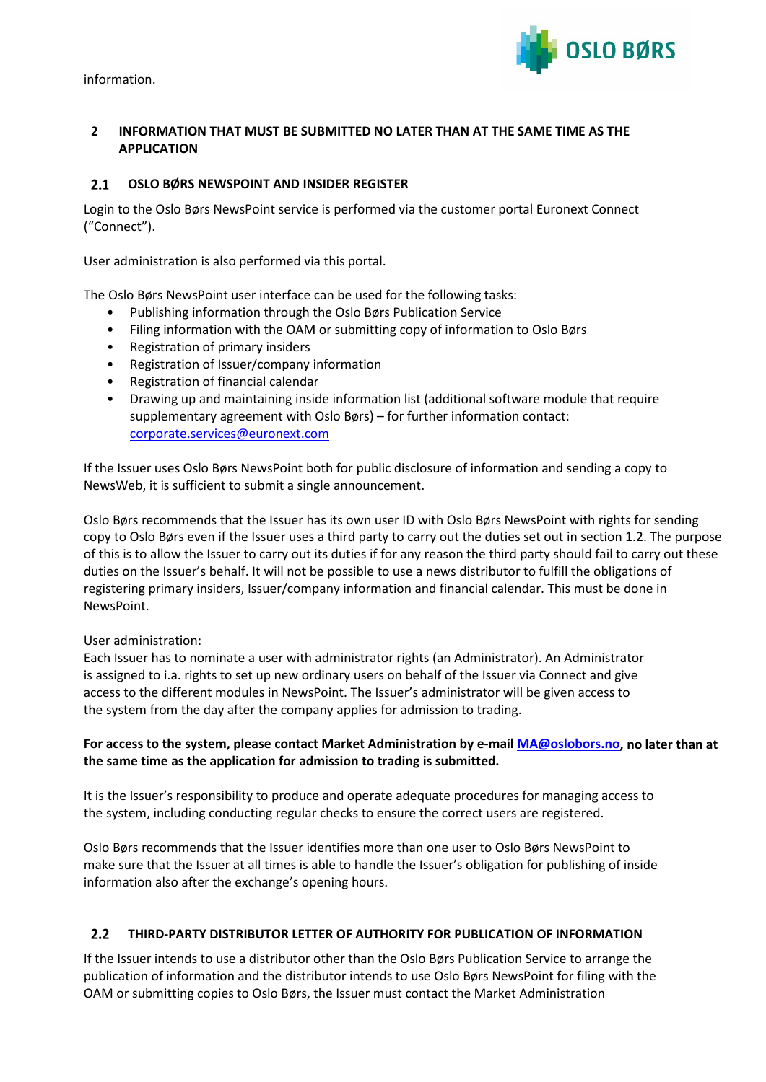information.



### <span id="page-2-0"></span>**2 INFORMATION THAT MUST BE SUBMITTED NO LATER THAN AT THE SAME TIME AS THE APPLICATION**

#### <span id="page-2-1"></span>**OSLO BØRS NEWSPOINT AND INSIDER REGISTER**  $2.1$

Login to the Oslo Børs NewsPoint service is performed via the customer portal Euronext Connect ("Connect").

User administration is also performed via this portal.

The Oslo Børs NewsPoint user interface can be used for the following tasks:

- Publishing information through the Oslo Børs Publication Service
- Filing information with the OAM or submitting copy of information to Oslo Børs
- Registration of primary insiders
- Registration of Issuer/company information
- Registration of financial calendar
- Drawing up and maintaining inside information list (additional software module that require supplementary agreement with Oslo Børs) – for further information contact: [corporate.services@euronext.com](mailto:corporate.services@euronext.com)

If the Issuer uses Oslo Børs NewsPoint both for public disclosure of information and sending a copy to NewsWeb, it is sufficient to submit a single announcement.

Oslo Børs recommends that the Issuer has its own user ID with Oslo Børs NewsPoint with rights for sending copy to Oslo Børs even if the Issuer uses a third party to carry out the duties set out in section 1.2. The purpose of this is to allow the Issuer to carry out its duties if for any reason the third party should fail to carry out these duties on the Issuer's behalf. It will not be possible to use a news distributor to fulfill the obligations of registering primary insiders, Issuer/company information and financial calendar. This must be done in NewsPoint.

#### User administration:

Each Issuer has to nominate a user with administrator rights (an Administrator). An Administrator is assigned to i.a. rights to set up new ordinary users on behalf of the Issuer via Connect and give access to the different modules in NewsPoint. The Issuer's administrator will be given access to the system from the day after the company applies for admission to trading.

### **For access to the system, please contact Market Administration by e-mail [MA@oslobors.no,](mailto:MA@oslobors.no) no later than at the same time as the application for admission to trading is submitted.**

It is the Issuer's responsibility to produce and operate adequate procedures for managing access to the system, including conducting regular checks to ensure the correct users are registered.

Oslo Børs recommends that the Issuer identifies more than one user to Oslo Børs NewsPoint to make sure that the Issuer at all times is able to handle the Issuer's obligation for publishing of inside information also after the exchange's opening hours.

#### <span id="page-2-2"></span> $2.2$ **THIRD-PARTY DISTRIBUTOR LETTER OF AUTHORITY FOR PUBLICATION OF INFORMATION**

If the Issuer intends to use a distributor other than the Oslo Børs Publication Service to arrange the publication of information and the distributor intends to use Oslo Børs NewsPoint for filing with the OAM or submitting copies to Oslo Børs, the Issuer must contact the Market Administration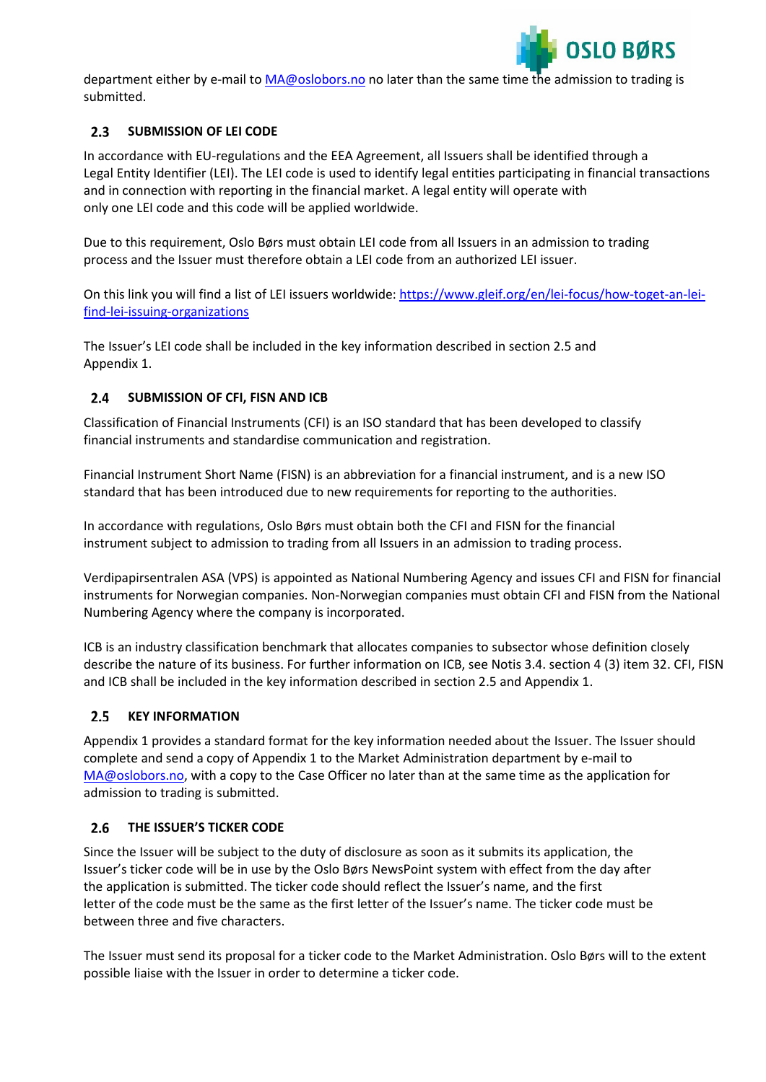

department either by e-mail to [MA@oslobors.no](mailto:MA@oslobors.no) no later than the same time the admission to trading is submitted.

#### <span id="page-3-0"></span> $2.3$ **SUBMISSION OF LEI CODE**

In accordance with EU-regulations and the EEA Agreement, all Issuers shall be identified through a Legal Entity Identifier (LEI). The LEI code is used to identify legal entities participating in financial transactions and in connection with reporting in the financial market. A legal entity will operate with only one LEI code and this code will be applied worldwide.

Due to this requirement, Oslo Børs must obtain LEI code from all Issuers in an admission to trading process and the Issuer must therefore obtain a LEI code from an authorized LEI issuer.

On this link you will find a list of LEI issuers worldwide[: https://www.gleif.org/en/lei-focus/how-toget-an-lei](https://www.gleif.org/en/lei-focus/how-toget-an-lei-find-lei-issuing-organizations)[find-lei-issuing-organizations](https://www.gleif.org/en/lei-focus/how-toget-an-lei-find-lei-issuing-organizations)

The Issuer's LEI code shall be included in the key information described in section 2.5 and Appendix 1.

### <span id="page-3-1"></span>**SUBMISSION OF CFI, FISN AND ICB**

Classification of Financial Instruments (CFI) is an ISO standard that has been developed to classify financial instruments and standardise communication and registration.

Financial Instrument Short Name (FISN) is an abbreviation for a financial instrument, and is a new ISO standard that has been introduced due to new requirements for reporting to the authorities.

In accordance with regulations, Oslo Børs must obtain both the CFI and FISN for the financial instrument subject to admission to trading from all Issuers in an admission to trading process.

Verdipapirsentralen ASA (VPS) is appointed as National Numbering Agency and issues CFI and FISN for financial instruments for Norwegian companies. Non-Norwegian companies must obtain CFI and FISN from the National Numbering Agency where the company is incorporated.

ICB is an industry classification benchmark that allocates companies to subsector whose definition closely describe the nature of its business. For further information on ICB, see Notis 3.4. section 4 (3) item 32. CFI, FISN and ICB shall be included in the key information described in section 2.5 and Appendix 1.

#### <span id="page-3-2"></span>**KEY INFORMATION**  $2.5$

Appendix 1 provides a standard format for the key information needed about the Issuer. The Issuer should complete and send a copy of Appendix 1 to the Market Administration department by e-mail to [MA@oslobors.no,](mailto:MA@oslobors.no) with a copy to the Case Officer no later than at the same time as the application for admission to trading is submitted.

#### <span id="page-3-3"></span>**THE ISSUER'S TICKER CODE**  $2.6$

Since the Issuer will be subject to the duty of disclosure as soon as it submits its application, the Issuer's ticker code will be in use by the Oslo Børs NewsPoint system with effect from the day after the application is submitted. The ticker code should reflect the Issuer's name, and the first letter of the code must be the same as the first letter of the Issuer's name. The ticker code must be between three and five characters.

The Issuer must send its proposal for a ticker code to the Market Administration. Oslo Børs will to the extent possible liaise with the Issuer in order to determine a ticker code.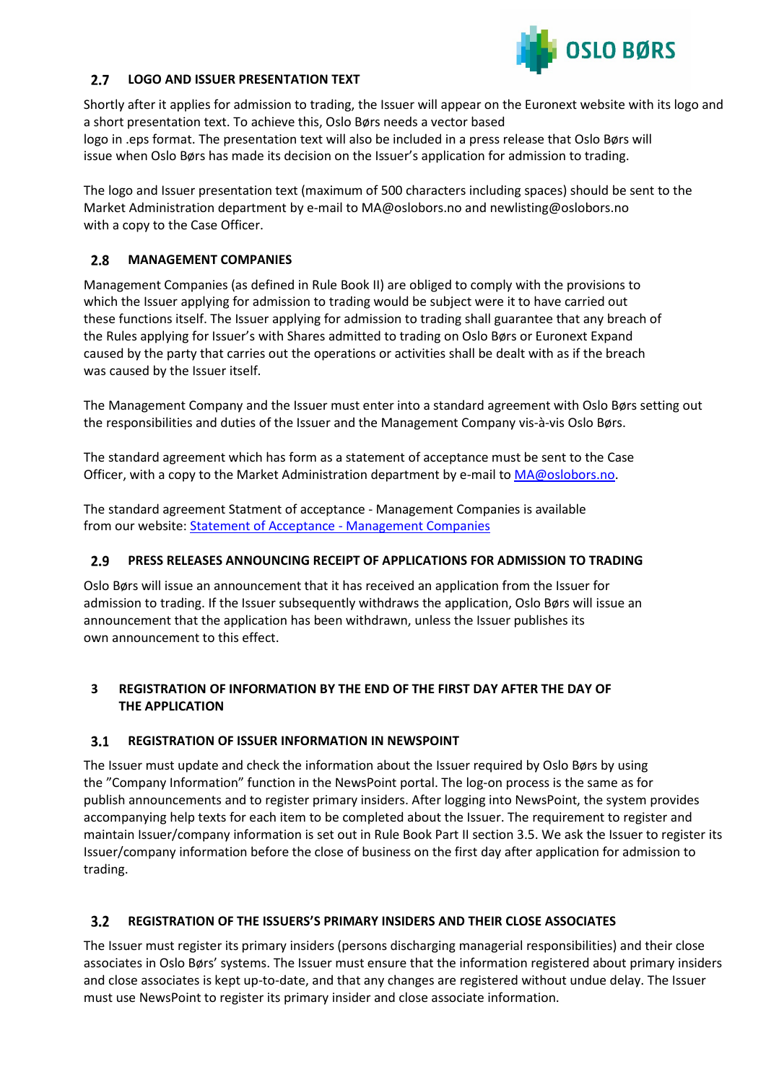

#### <span id="page-4-0"></span> $2.7$ **LOGO AND ISSUER PRESENTATION TEXT**

Shortly after it applies for admission to trading, the Issuer will appear on the Euronext website with its logo and a short presentation text. To achieve this, Oslo Børs needs a vector based logo in .eps format. The presentation text will also be included in a press release that Oslo Børs will issue when Oslo Børs has made its decision on the Issuer's application for admission to trading.

The logo and Issuer presentation text (maximum of 500 characters including spaces) should be sent to the Market Administration department by e-mail to MA@oslobors.no and newlisting@oslobors.no with a copy to the Case Officer.

#### <span id="page-4-1"></span> $2.8$ **MANAGEMENT COMPANIES**

Management Companies (as defined in Rule Book II) are obliged to comply with the provisions to which the Issuer applying for admission to trading would be subject were it to have carried out these functions itself. The Issuer applying for admission to trading shall guarantee that any breach of the Rules applying for Issuer's with Shares admitted to trading on Oslo Børs or Euronext Expand caused by the party that carries out the operations or activities shall be dealt with as if the breach was caused by the Issuer itself.

The Management Company and the Issuer must enter into a standard agreement with Oslo Børs setting out the responsibilities and duties of the Issuer and the Management Company vis-à-vis Oslo Børs.

The standard agreement which has form as a statement of acceptance must be sent to the Case Officer, with a copy to the Market Administration department by e-mail to [MA@oslobors.no.](mailto:MA@oslobors.no)

The standard agreement Statment of acceptance - Management Companies is available from our website[: Statement of Acceptance -](https://www.euronext.com/sites/default/files/2020-12/Statement%20of%20acceptance%20-%20Management%20Companies%20%20%28Oslo%20B%C3%B8rs%2C%20Euronext%20Expand%29.pdf) Management Companies

#### <span id="page-4-2"></span> $2.9$ **PRESS RELEASES ANNOUNCING RECEIPT OF APPLICATIONS FOR ADMISSION TO TRADING**

Oslo Børs will issue an announcement that it has received an application from the Issuer for admission to trading. If the Issuer subsequently withdraws the application, Oslo Børs will issue an announcement that the application has been withdrawn, unless the Issuer publishes its own announcement to this effect.

### <span id="page-4-3"></span>**3 REGISTRATION OF INFORMATION BY THE END OF THE FIRST DAY AFTER THE DAY OF THE APPLICATION**

#### <span id="page-4-4"></span>**REGISTRATION OF ISSUER INFORMATION IN NEWSPOINT**  $3.1$

The Issuer must update and check the information about the Issuer required by Oslo Børs by using the "Company Information" function in the NewsPoint portal. The log-on process is the same as for publish announcements and to register primary insiders. After logging into NewsPoint, the system provides accompanying help texts for each item to be completed about the Issuer. The requirement to register and maintain Issuer/company information is set out in Rule Book Part II section 3.5. We ask the Issuer to register its Issuer/company information before the close of business on the first day after application for admission to trading.

#### <span id="page-4-5"></span> $3.2$ **REGISTRATION OF THE ISSUERS'S PRIMARY INSIDERS AND THEIR CLOSE ASSOCIATES**

The Issuer must register its primary insiders (persons discharging managerial responsibilities) and their close associates in Oslo Børs' systems. The Issuer must ensure that the information registered about primary insiders and close associates is kept up-to-date, and that any changes are registered without undue delay. The Issuer must use NewsPoint to register its primary insider and close associate information.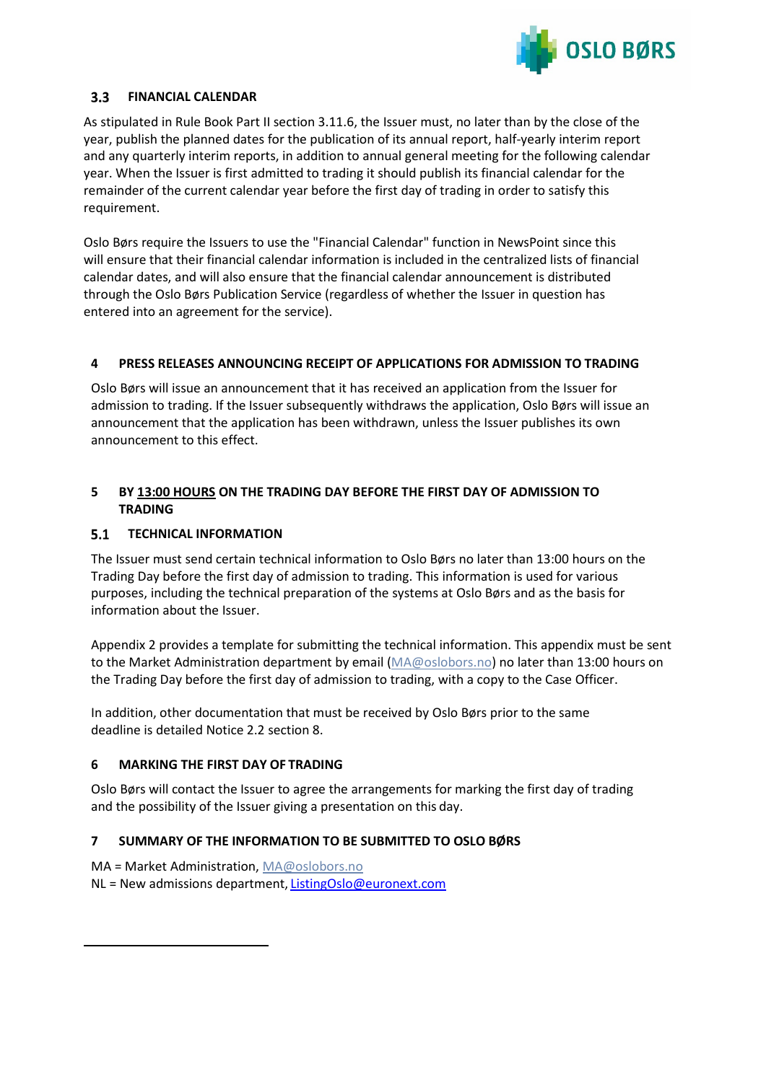

#### <span id="page-5-0"></span> $3.3$ **FINANCIAL CALENDAR**

As stipulated in Rule Book Part II section 3.11.6, the Issuer must, no later than by the close of the year, publish the planned dates for the publication of its annual report, half-yearly interim report and any quarterly interim reports, in addition to annual general meeting for the following calendar year. When the Issuer is first admitted to trading it should publish its financial calendar for the remainder of the current calendar year before the first day of trading in order to satisfy this requirement.

Oslo Børs require the Issuers to use the "Financial Calendar" function in NewsPoint since this will ensure that their financial calendar information is included in the centralized lists of financial calendar dates, and will also ensure that the financial calendar announcement is distributed through the Oslo Børs Publication Service (regardless of whether the Issuer in question has entered into an agreement for the service).

### <span id="page-5-1"></span>**4 PRESS RELEASES ANNOUNCING RECEIPT OF APPLICATIONS FOR ADMISSION TO TRADING**

Oslo Børs will issue an announcement that it has received an application from the Issuer for admission to trading. If the Issuer subsequently withdraws the application, Oslo Børs will issue an announcement that the application has been withdrawn, unless the Issuer publishes its own announcement to this effect.

### <span id="page-5-2"></span>**5 BY 13:00 HOURS ON THE TRADING DAY BEFORE THE FIRST DAY OF ADMISSION TO TRADING**

#### <span id="page-5-3"></span>**TECHNICAL INFORMATION**  $5.1$

The Issuer must send certain technical information to Oslo Børs no later than 13:00 hours on the Trading Day before the first day of admission to trading. This information is used for various purposes, including the technical preparation of the systems at Oslo Børs and as the basis for information about the Issuer.

Appendix 2 provides a template for submitting the technical information. This appendix must be sent to the Market Administration department by email [\(MA@oslobors.no\)](mailto:MA@oslobors.no) no later than 13:00 hours on the Trading Day before the first day of admission to trading, with a copy to the Case Officer.

In addition, other documentation that must be received by Oslo Børs prior to the same deadline is detailed Notice 2.2 section 8.

### <span id="page-5-4"></span>**6 MARKING THE FIRST DAY OF TRADING**

Oslo Børs will contact the Issuer to agree the arrangements for marking the first day of trading and the possibility of the Issuer giving a presentation on this day.

### <span id="page-5-5"></span>**7 SUMMARY OF THE INFORMATION TO BE SUBMITTED TO OSLO BØRS**

MA = Market Administration, [MA@oslobors.no](mailto:MA@oslobors.no) NL = New admissions department, **[ListingOslo@euronext.com](mailto:ListingOslo@euronext.com)**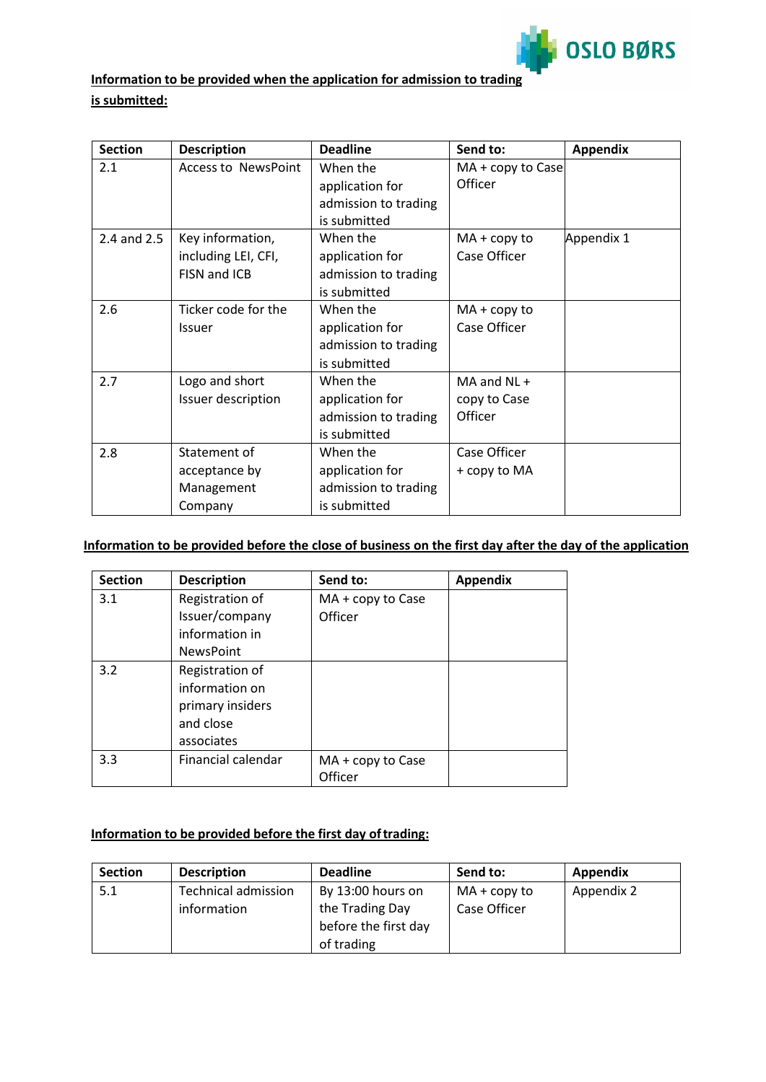

## **Information to be provided when the application for admission to trading**

### **is submitted:**

| <b>Section</b> | <b>Description</b>         | <b>Deadline</b>      | Send to:          | <b>Appendix</b> |
|----------------|----------------------------|----------------------|-------------------|-----------------|
| 2.1            | <b>Access to NewsPoint</b> | When the             | MA + copy to Case |                 |
|                |                            | application for      | Officer           |                 |
|                |                            | admission to trading |                   |                 |
|                |                            | is submitted         |                   |                 |
| 2.4 and 2.5    | Key information,           | When the             | $MA + copy to$    | Appendix 1      |
|                | including LEI, CFI,        | application for      | Case Officer      |                 |
|                | FISN and ICB               | admission to trading |                   |                 |
|                |                            | is submitted         |                   |                 |
| 2.6            | Ticker code for the        | When the             | $MA + copy to$    |                 |
|                | <b>Issuer</b>              | application for      | Case Officer      |                 |
|                |                            | admission to trading |                   |                 |
|                |                            | is submitted         |                   |                 |
| 2.7            | Logo and short             | When the             | $MA$ and $NL +$   |                 |
|                | Issuer description         | application for      | copy to Case      |                 |
|                |                            | admission to trading | Officer           |                 |
|                |                            | is submitted         |                   |                 |
| 2.8            | Statement of               | When the             | Case Officer      |                 |
|                | acceptance by              | application for      | + copy to MA      |                 |
|                | Management                 | admission to trading |                   |                 |
|                | Company                    | is submitted         |                   |                 |

### **Information to be provided before the close of business on the first day after the day of the application**

| <b>Section</b> | <b>Description</b> | Send to:          | <b>Appendix</b> |
|----------------|--------------------|-------------------|-----------------|
| 3.1            | Registration of    | MA + copy to Case |                 |
|                | Issuer/company     | Officer           |                 |
|                | information in     |                   |                 |
|                | <b>NewsPoint</b>   |                   |                 |
| 3.2            | Registration of    |                   |                 |
|                | information on     |                   |                 |
|                | primary insiders   |                   |                 |
|                | and close          |                   |                 |
|                | associates         |                   |                 |
| 3.3            | Financial calendar | MA + copy to Case |                 |
|                |                    | Officer           |                 |

### **Information to be provided before the first day oftrading:**

| <b>Section</b> | <b>Description</b>         | <b>Deadline</b>      | Send to:       | Appendix   |
|----------------|----------------------------|----------------------|----------------|------------|
| 5.1            | <b>Technical admission</b> | By 13:00 hours on    | $MA + copy to$ | Appendix 2 |
|                | information                | the Trading Day      | Case Officer   |            |
|                |                            | before the first day |                |            |
|                |                            | of trading           |                |            |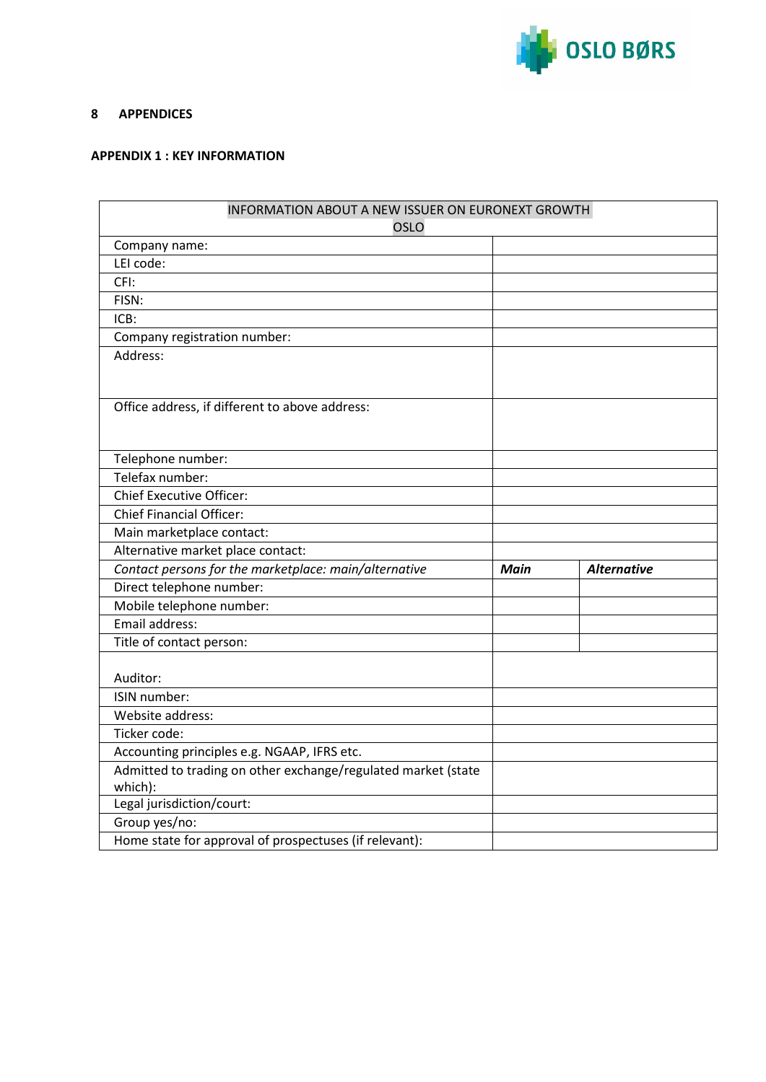

#### <span id="page-7-0"></span>**8 APPENDICES**

### <span id="page-7-1"></span>**APPENDIX 1 : KEY INFORMATION**

| INFORMATION ABOUT A NEW ISSUER ON EURONEXT GROWTH             |             |                    |
|---------------------------------------------------------------|-------------|--------------------|
| OSLO                                                          |             |                    |
| Company name:                                                 |             |                    |
| LEI code:                                                     |             |                    |
| CFI:                                                          |             |                    |
| FISN:                                                         |             |                    |
| ICB:                                                          |             |                    |
| Company registration number:                                  |             |                    |
| Address:                                                      |             |                    |
|                                                               |             |                    |
|                                                               |             |                    |
| Office address, if different to above address:                |             |                    |
|                                                               |             |                    |
|                                                               |             |                    |
| Telephone number:<br>Telefax number:                          |             |                    |
|                                                               |             |                    |
| <b>Chief Executive Officer:</b>                               |             |                    |
| <b>Chief Financial Officer:</b>                               |             |                    |
| Main marketplace contact:                                     |             |                    |
| Alternative market place contact:                             |             |                    |
| Contact persons for the marketplace: main/alternative         | <b>Main</b> | <b>Alternative</b> |
| Direct telephone number:                                      |             |                    |
| Mobile telephone number:                                      |             |                    |
| Email address:                                                |             |                    |
| Title of contact person:                                      |             |                    |
|                                                               |             |                    |
| Auditor:                                                      |             |                    |
| ISIN number:                                                  |             |                    |
| Website address:                                              |             |                    |
| Ticker code:                                                  |             |                    |
| Accounting principles e.g. NGAAP, IFRS etc.                   |             |                    |
| Admitted to trading on other exchange/regulated market (state |             |                    |
| which):                                                       |             |                    |
| Legal jurisdiction/court:                                     |             |                    |
| Group yes/no:                                                 |             |                    |
| Home state for approval of prospectuses (if relevant):        |             |                    |